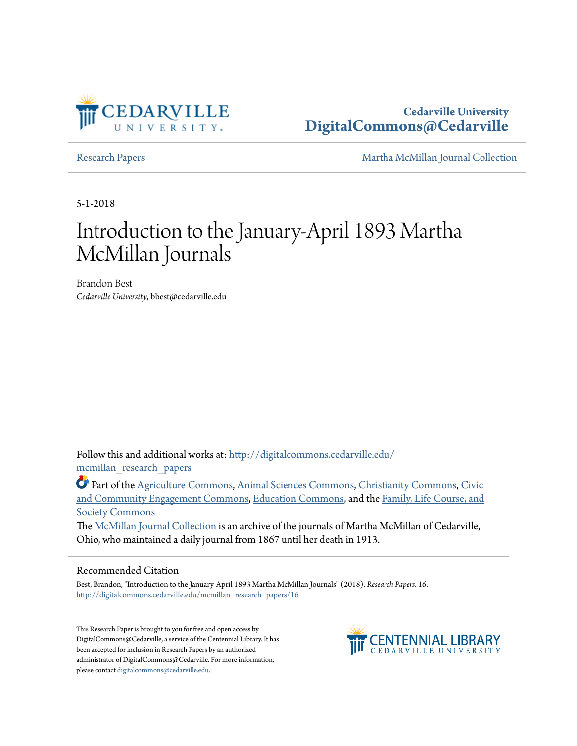

**Cedarville University [DigitalCommons@Cedarville](http://digitalcommons.cedarville.edu?utm_source=digitalcommons.cedarville.edu%2Fmcmillan_research_papers%2F16&utm_medium=PDF&utm_campaign=PDFCoverPages)**

[Research Papers](http://digitalcommons.cedarville.edu/mcmillan_research_papers?utm_source=digitalcommons.cedarville.edu%2Fmcmillan_research_papers%2F16&utm_medium=PDF&utm_campaign=PDFCoverPages) [Martha McMillan Journal Collection](http://digitalcommons.cedarville.edu/mcmillan_journal_collection?utm_source=digitalcommons.cedarville.edu%2Fmcmillan_research_papers%2F16&utm_medium=PDF&utm_campaign=PDFCoverPages)

5-1-2018

# Introduction to the January-April 1893 Martha McMillan Journals

Brandon Best *Cedarville University*, bbest@cedarville.edu

Follow this and additional works at: [http://digitalcommons.cedarville.edu/](http://digitalcommons.cedarville.edu/mcmillan_research_papers?utm_source=digitalcommons.cedarville.edu%2Fmcmillan_research_papers%2F16&utm_medium=PDF&utm_campaign=PDFCoverPages) [mcmillan\\_research\\_papers](http://digitalcommons.cedarville.edu/mcmillan_research_papers?utm_source=digitalcommons.cedarville.edu%2Fmcmillan_research_papers%2F16&utm_medium=PDF&utm_campaign=PDFCoverPages)

Part of the [Agriculture Commons](http://network.bepress.com/hgg/discipline/1076?utm_source=digitalcommons.cedarville.edu%2Fmcmillan_research_papers%2F16&utm_medium=PDF&utm_campaign=PDFCoverPages), [Animal Sciences Commons,](http://network.bepress.com/hgg/discipline/76?utm_source=digitalcommons.cedarville.edu%2Fmcmillan_research_papers%2F16&utm_medium=PDF&utm_campaign=PDFCoverPages) [Christianity Commons](http://network.bepress.com/hgg/discipline/1181?utm_source=digitalcommons.cedarville.edu%2Fmcmillan_research_papers%2F16&utm_medium=PDF&utm_campaign=PDFCoverPages), [Civic](http://network.bepress.com/hgg/discipline/1028?utm_source=digitalcommons.cedarville.edu%2Fmcmillan_research_papers%2F16&utm_medium=PDF&utm_campaign=PDFCoverPages) [and Community Engagement Commons,](http://network.bepress.com/hgg/discipline/1028?utm_source=digitalcommons.cedarville.edu%2Fmcmillan_research_papers%2F16&utm_medium=PDF&utm_campaign=PDFCoverPages) [Education Commons,](http://network.bepress.com/hgg/discipline/784?utm_source=digitalcommons.cedarville.edu%2Fmcmillan_research_papers%2F16&utm_medium=PDF&utm_campaign=PDFCoverPages) and the [Family, Life Course, and](http://network.bepress.com/hgg/discipline/419?utm_source=digitalcommons.cedarville.edu%2Fmcmillan_research_papers%2F16&utm_medium=PDF&utm_campaign=PDFCoverPages) [Society Commons](http://network.bepress.com/hgg/discipline/419?utm_source=digitalcommons.cedarville.edu%2Fmcmillan_research_papers%2F16&utm_medium=PDF&utm_campaign=PDFCoverPages)

The [McMillan Journal Collection](http://digitalcommons.cedarville.edu/mcmillan_journal_collection/) is an archive of the journals of Martha McMillan of Cedarville, Ohio, who maintained a daily journal from 1867 until her death in 1913.

### Recommended Citation

Best, Brandon, "Introduction to the January-April 1893 Martha McMillan Journals" (2018). *Research Papers*. 16. [http://digitalcommons.cedarville.edu/mcmillan\\_research\\_papers/16](http://digitalcommons.cedarville.edu/mcmillan_research_papers/16?utm_source=digitalcommons.cedarville.edu%2Fmcmillan_research_papers%2F16&utm_medium=PDF&utm_campaign=PDFCoverPages)

This Research Paper is brought to you for free and open access by DigitalCommons@Cedarville, a service of the Centennial Library. It has been accepted for inclusion in Research Papers by an authorized administrator of DigitalCommons@Cedarville. For more information, please contact [digitalcommons@cedarville.edu.](mailto:digitalcommons@cedarville.edu)

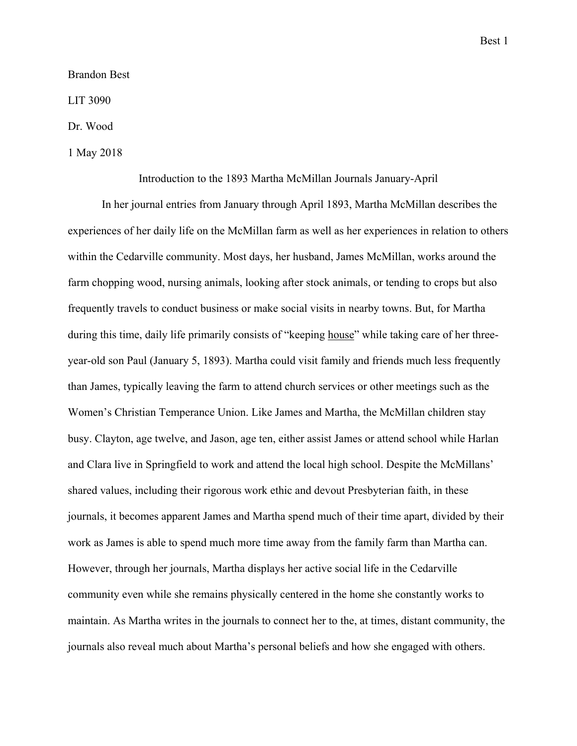### Brandon Best

## LIT 3090

## Dr. Wood

## 1 May 2018

### Introduction to the 1893 Martha McMillan Journals January-April

 In her journal entries from January through April 1893, Martha McMillan describes the experiences of her daily life on the McMillan farm as well as her experiences in relation to others within the Cedarville community. Most days, her husband, James McMillan, works around the farm chopping wood, nursing animals, looking after stock animals, or tending to crops but also frequently travels to conduct business or make social visits in nearby towns. But, for Martha during this time, daily life primarily consists of "keeping house" while taking care of her threeyear-old son Paul (January 5, 1893). Martha could visit family and friends much less frequently than James, typically leaving the farm to attend church services or other meetings such as the Women's Christian Temperance Union. Like James and Martha, the McMillan children stay busy. Clayton, age twelve, and Jason, age ten, either assist James or attend school while Harlan and Clara live in Springfield to work and attend the local high school. Despite the McMillans' shared values, including their rigorous work ethic and devout Presbyterian faith, in these journals, it becomes apparent James and Martha spend much of their time apart, divided by their work as James is able to spend much more time away from the family farm than Martha can. However, through her journals, Martha displays her active social life in the Cedarville community even while she remains physically centered in the home she constantly works to maintain. As Martha writes in the journals to connect her to the, at times, distant community, the journals also reveal much about Martha's personal beliefs and how she engaged with others.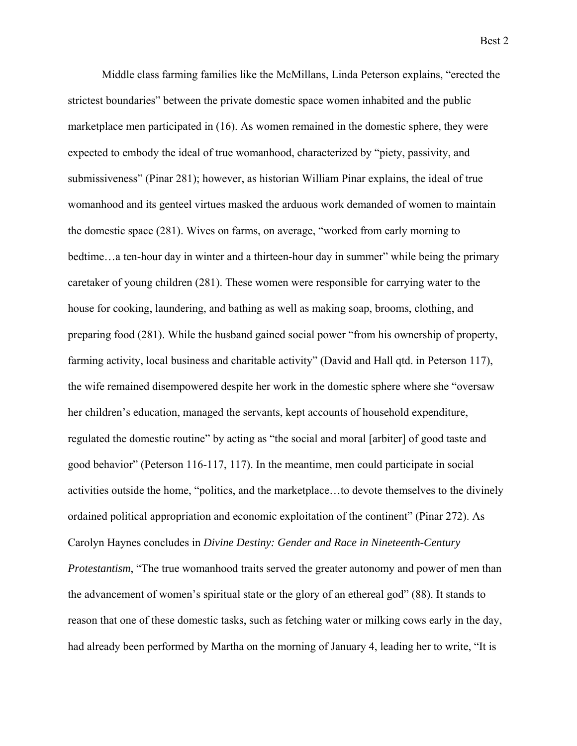Middle class farming families like the McMillans, Linda Peterson explains, "erected the strictest boundaries" between the private domestic space women inhabited and the public marketplace men participated in (16). As women remained in the domestic sphere, they were expected to embody the ideal of true womanhood, characterized by "piety, passivity, and submissiveness" (Pinar 281); however, as historian William Pinar explains, the ideal of true womanhood and its genteel virtues masked the arduous work demanded of women to maintain the domestic space (281). Wives on farms, on average, "worked from early morning to bedtime...a ten-hour day in winter and a thirteen-hour day in summer" while being the primary caretaker of young children (281). These women were responsible for carrying water to the house for cooking, laundering, and bathing as well as making soap, brooms, clothing, and preparing food (281). While the husband gained social power "from his ownership of property, farming activity, local business and charitable activity" (David and Hall qtd. in Peterson 117), the wife remained disempowered despite her work in the domestic sphere where she "oversaw her children's education, managed the servants, kept accounts of household expenditure, regulated the domestic routine" by acting as "the social and moral [arbiter] of good taste and good behavior" (Peterson 116-117, 117). In the meantime, men could participate in social activities outside the home, "politics, and the marketplace…to devote themselves to the divinely ordained political appropriation and economic exploitation of the continent" (Pinar 272). As Carolyn Haynes concludes in *Divine Destiny: Gender and Race in Nineteenth-Century Protestantism*, "The true womanhood traits served the greater autonomy and power of men than the advancement of women's spiritual state or the glory of an ethereal god" (88). It stands to reason that one of these domestic tasks, such as fetching water or milking cows early in the day, had already been performed by Martha on the morning of January 4, leading her to write, "It is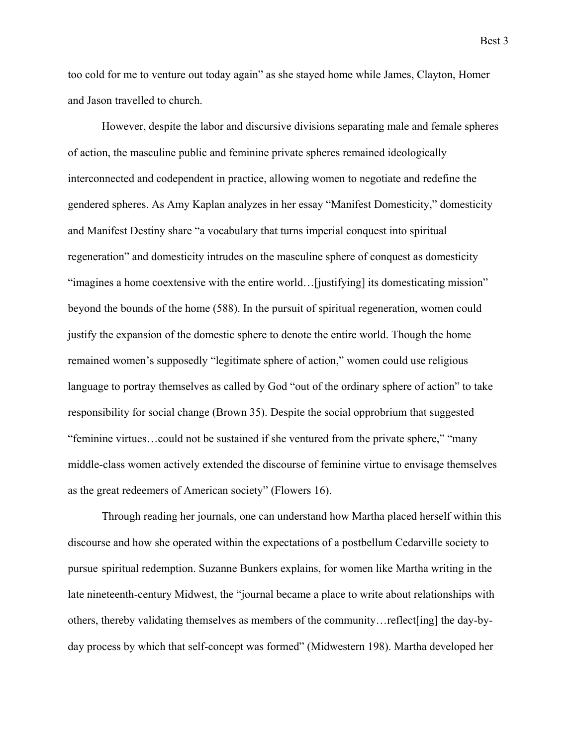too cold for me to venture out today again" as she stayed home while James, Clayton, Homer and Jason travelled to church.

 However, despite the labor and discursive divisions separating male and female spheres of action, the masculine public and feminine private spheres remained ideologically interconnected and codependent in practice, allowing women to negotiate and redefine the gendered spheres. As Amy Kaplan analyzes in her essay "Manifest Domesticity," domesticity and Manifest Destiny share "a vocabulary that turns imperial conquest into spiritual regeneration" and domesticity intrudes on the masculine sphere of conquest as domesticity "imagines a home coextensive with the entire world…[justifying] its domesticating mission" beyond the bounds of the home (588). In the pursuit of spiritual regeneration, women could justify the expansion of the domestic sphere to denote the entire world. Though the home remained women's supposedly "legitimate sphere of action," women could use religious language to portray themselves as called by God "out of the ordinary sphere of action" to take responsibility for social change (Brown 35). Despite the social opprobrium that suggested "feminine virtues…could not be sustained if she ventured from the private sphere," "many middle-class women actively extended the discourse of feminine virtue to envisage themselves as the great redeemers of American society" (Flowers 16).

 Through reading her journals, one can understand how Martha placed herself within this discourse and how she operated within the expectations of a postbellum Cedarville society to pursue spiritual redemption. Suzanne Bunkers explains, for women like Martha writing in the late nineteenth-century Midwest, the "journal became a place to write about relationships with others, thereby validating themselves as members of the community…reflect[ing] the day-byday process by which that self-concept was formed" (Midwestern 198). Martha developed her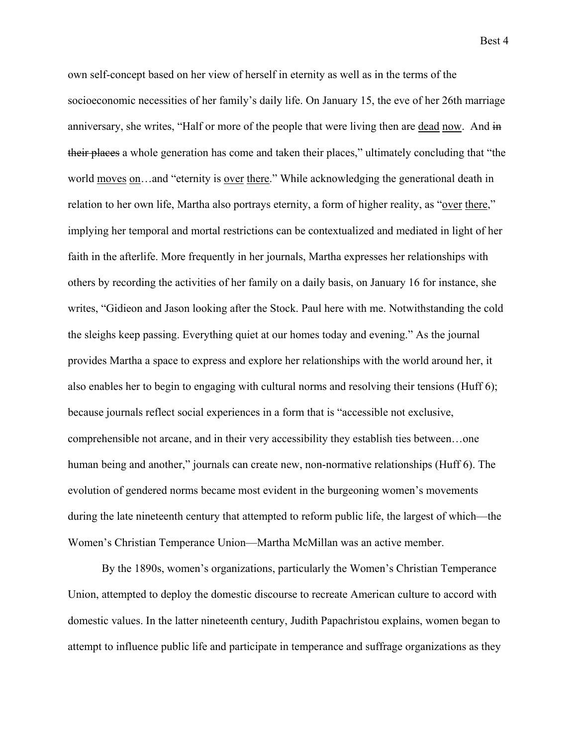own self-concept based on her view of herself in eternity as well as in the terms of the socioeconomic necessities of her family's daily life. On January 15, the eve of her 26th marriage anniversary, she writes, "Half or more of the people that were living then are dead now. And in their places a whole generation has come and taken their places," ultimately concluding that "the world moves on...and "eternity is over there." While acknowledging the generational death in relation to her own life, Martha also portrays eternity, a form of higher reality, as "over there," implying her temporal and mortal restrictions can be contextualized and mediated in light of her faith in the afterlife. More frequently in her journals, Martha expresses her relationships with others by recording the activities of her family on a daily basis, on January 16 for instance, she writes, "Gidieon and Jason looking after the Stock. Paul here with me. Notwithstanding the cold the sleighs keep passing. Everything quiet at our homes today and evening." As the journal provides Martha a space to express and explore her relationships with the world around her, it also enables her to begin to engaging with cultural norms and resolving their tensions (Huff 6); because journals reflect social experiences in a form that is "accessible not exclusive, comprehensible not arcane, and in their very accessibility they establish ties between…one human being and another," journals can create new, non-normative relationships (Huff 6). The evolution of gendered norms became most evident in the burgeoning women's movements during the late nineteenth century that attempted to reform public life, the largest of which—the Women's Christian Temperance Union—Martha McMillan was an active member.

 By the 1890s, women's organizations, particularly the Women's Christian Temperance Union, attempted to deploy the domestic discourse to recreate American culture to accord with domestic values. In the latter nineteenth century, Judith Papachristou explains, women began to attempt to influence public life and participate in temperance and suffrage organizations as they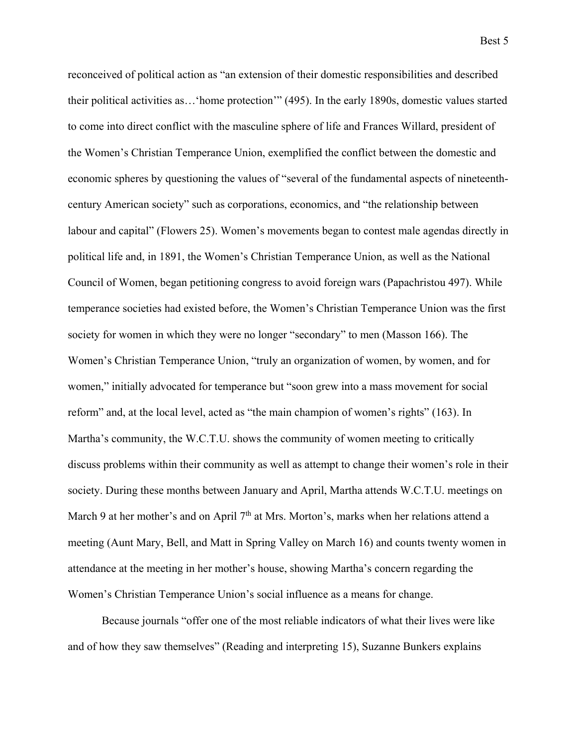reconceived of political action as "an extension of their domestic responsibilities and described their political activities as…'home protection'" (495). In the early 1890s, domestic values started to come into direct conflict with the masculine sphere of life and Frances Willard, president of the Women's Christian Temperance Union, exemplified the conflict between the domestic and economic spheres by questioning the values of "several of the fundamental aspects of nineteenthcentury American society" such as corporations, economics, and "the relationship between labour and capital" (Flowers 25). Women's movements began to contest male agendas directly in political life and, in 1891, the Women's Christian Temperance Union, as well as the National Council of Women, began petitioning congress to avoid foreign wars (Papachristou 497). While temperance societies had existed before, the Women's Christian Temperance Union was the first society for women in which they were no longer "secondary" to men (Masson 166). The Women's Christian Temperance Union, "truly an organization of women, by women, and for women," initially advocated for temperance but "soon grew into a mass movement for social reform" and, at the local level, acted as "the main champion of women's rights" (163). In Martha's community, the W.C.T.U. shows the community of women meeting to critically discuss problems within their community as well as attempt to change their women's role in their society. During these months between January and April, Martha attends W.C.T.U. meetings on March 9 at her mother's and on April 7<sup>th</sup> at Mrs. Morton's, marks when her relations attend a meeting (Aunt Mary, Bell, and Matt in Spring Valley on March 16) and counts twenty women in attendance at the meeting in her mother's house, showing Martha's concern regarding the Women's Christian Temperance Union's social influence as a means for change.

 Because journals "offer one of the most reliable indicators of what their lives were like and of how they saw themselves" (Reading and interpreting 15), Suzanne Bunkers explains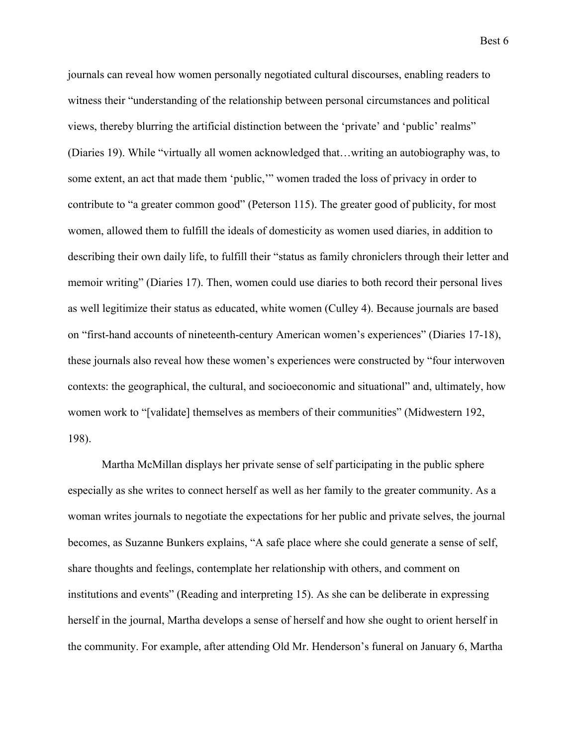journals can reveal how women personally negotiated cultural discourses, enabling readers to witness their "understanding of the relationship between personal circumstances and political views, thereby blurring the artificial distinction between the 'private' and 'public' realms" (Diaries 19). While "virtually all women acknowledged that…writing an autobiography was, to some extent, an act that made them 'public,'" women traded the loss of privacy in order to contribute to "a greater common good" (Peterson 115). The greater good of publicity, for most women, allowed them to fulfill the ideals of domesticity as women used diaries, in addition to describing their own daily life, to fulfill their "status as family chroniclers through their letter and memoir writing" (Diaries 17). Then, women could use diaries to both record their personal lives as well legitimize their status as educated, white women (Culley 4). Because journals are based on "first-hand accounts of nineteenth-century American women's experiences" (Diaries 17-18), these journals also reveal how these women's experiences were constructed by "four interwoven contexts: the geographical, the cultural, and socioeconomic and situational" and, ultimately, how women work to "[validate] themselves as members of their communities" (Midwestern 192, 198).

 Martha McMillan displays her private sense of self participating in the public sphere especially as she writes to connect herself as well as her family to the greater community. As a woman writes journals to negotiate the expectations for her public and private selves, the journal becomes, as Suzanne Bunkers explains, "A safe place where she could generate a sense of self, share thoughts and feelings, contemplate her relationship with others, and comment on institutions and events" (Reading and interpreting 15). As she can be deliberate in expressing herself in the journal, Martha develops a sense of herself and how she ought to orient herself in the community. For example, after attending Old Mr. Henderson's funeral on January 6, Martha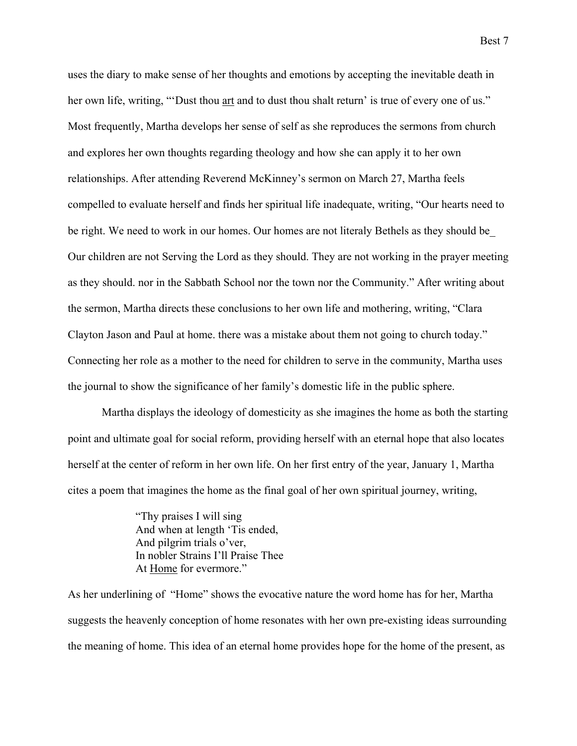Best 7

uses the diary to make sense of her thoughts and emotions by accepting the inevitable death in her own life, writing, "Dust thou art and to dust thou shalt return' is true of every one of us." Most frequently, Martha develops her sense of self as she reproduces the sermons from church and explores her own thoughts regarding theology and how she can apply it to her own relationships. After attending Reverend McKinney's sermon on March 27, Martha feels compelled to evaluate herself and finds her spiritual life inadequate, writing, "Our hearts need to be right. We need to work in our homes. Our homes are not literaly Bethels as they should be\_ Our children are not Serving the Lord as they should. They are not working in the prayer meeting as they should. nor in the Sabbath School nor the town nor the Community." After writing about the sermon, Martha directs these conclusions to her own life and mothering, writing, "Clara Clayton Jason and Paul at home. there was a mistake about them not going to church today." Connecting her role as a mother to the need for children to serve in the community, Martha uses the journal to show the significance of her family's domestic life in the public sphere.

 Martha displays the ideology of domesticity as she imagines the home as both the starting point and ultimate goal for social reform, providing herself with an eternal hope that also locates herself at the center of reform in her own life. On her first entry of the year, January 1, Martha cites a poem that imagines the home as the final goal of her own spiritual journey, writing,

> "Thy praises I will sing And when at length 'Tis ended, And pilgrim trials o'ver, In nobler Strains I'll Praise Thee At Home for evermore."

As her underlining of "Home" shows the evocative nature the word home has for her, Martha suggests the heavenly conception of home resonates with her own pre-existing ideas surrounding the meaning of home. This idea of an eternal home provides hope for the home of the present, as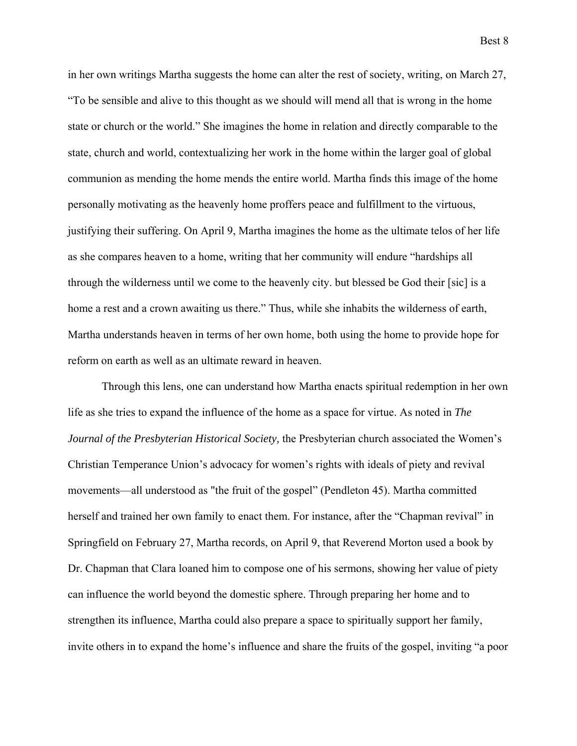in her own writings Martha suggests the home can alter the rest of society, writing, on March 27, "To be sensible and alive to this thought as we should will mend all that is wrong in the home state or church or the world." She imagines the home in relation and directly comparable to the state, church and world, contextualizing her work in the home within the larger goal of global communion as mending the home mends the entire world. Martha finds this image of the home personally motivating as the heavenly home proffers peace and fulfillment to the virtuous, justifying their suffering. On April 9, Martha imagines the home as the ultimate telos of her life as she compares heaven to a home, writing that her community will endure "hardships all through the wilderness until we come to the heavenly city. but blessed be God their [sic] is a home a rest and a crown awaiting us there." Thus, while she inhabits the wilderness of earth, Martha understands heaven in terms of her own home, both using the home to provide hope for reform on earth as well as an ultimate reward in heaven.

 Through this lens, one can understand how Martha enacts spiritual redemption in her own life as she tries to expand the influence of the home as a space for virtue. As noted in *The Journal of the Presbyterian Historical Society,* the Presbyterian church associated the Women's Christian Temperance Union's advocacy for women's rights with ideals of piety and revival movements—all understood as "the fruit of the gospel" (Pendleton 45). Martha committed herself and trained her own family to enact them. For instance, after the "Chapman revival" in Springfield on February 27, Martha records, on April 9, that Reverend Morton used a book by Dr. Chapman that Clara loaned him to compose one of his sermons, showing her value of piety can influence the world beyond the domestic sphere. Through preparing her home and to strengthen its influence, Martha could also prepare a space to spiritually support her family, invite others in to expand the home's influence and share the fruits of the gospel, inviting "a poor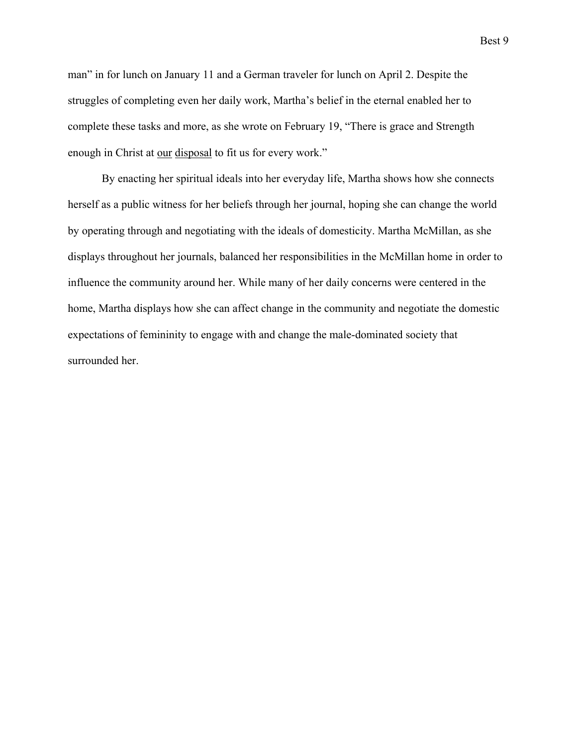man" in for lunch on January 11 and a German traveler for lunch on April 2. Despite the struggles of completing even her daily work, Martha's belief in the eternal enabled her to complete these tasks and more, as she wrote on February 19, "There is grace and Strength enough in Christ at our disposal to fit us for every work."

By enacting her spiritual ideals into her everyday life, Martha shows how she connects herself as a public witness for her beliefs through her journal, hoping she can change the world by operating through and negotiating with the ideals of domesticity. Martha McMillan, as she displays throughout her journals, balanced her responsibilities in the McMillan home in order to influence the community around her. While many of her daily concerns were centered in the home, Martha displays how she can affect change in the community and negotiate the domestic expectations of femininity to engage with and change the male-dominated society that surrounded her.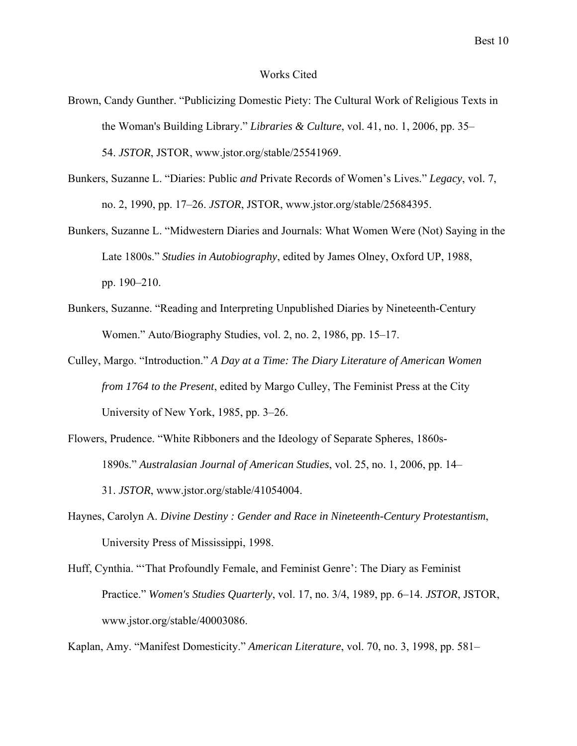#### Works Cited

- Brown, Candy Gunther. "Publicizing Domestic Piety: The Cultural Work of Religious Texts in the Woman's Building Library." *Libraries & Culture*, vol. 41, no. 1, 2006, pp. 35– 54. *JSTOR*, JSTOR, www.jstor.org/stable/25541969.
- Bunkers, Suzanne L. "Diaries: Public *and* Private Records of Women's Lives." *Legacy*, vol. 7, no. 2, 1990, pp. 17–26. *JSTOR*, JSTOR, www.jstor.org/stable/25684395.
- Bunkers, Suzanne L. "Midwestern Diaries and Journals: What Women Were (Not) Saying in the Late 1800s." *Studies in Autobiography*, edited by James Olney, Oxford UP, 1988, pp. 190–210.
- Bunkers, Suzanne. "Reading and Interpreting Unpublished Diaries by Nineteenth-Century Women." Auto/Biography Studies, vol. 2, no. 2, 1986, pp. 15–17.
- Culley, Margo. "Introduction." *A Day at a Time: The Diary Literature of American Women from 1764 to the Present*, edited by Margo Culley, The Feminist Press at the City University of New York, 1985, pp. 3–26.
- Flowers, Prudence. "White Ribboners and the Ideology of Separate Spheres, 1860s- 1890s." *Australasian Journal of American Studies*, vol. 25, no. 1, 2006, pp. 14– 31. *JSTOR*, www.jstor.org/stable/41054004.
- Haynes, Carolyn A. *Divine Destiny : Gender and Race in Nineteenth-Century Protestantism*, University Press of Mississippi, 1998.
- Huff, Cynthia. "'That Profoundly Female, and Feminist Genre': The Diary as Feminist Practice." *Women's Studies Quarterly*, vol. 17, no. 3/4, 1989, pp. 6–14. *JSTOR*, JSTOR, www.jstor.org/stable/40003086.

Kaplan, Amy. "Manifest Domesticity." *American Literature*, vol. 70, no. 3, 1998, pp. 581–